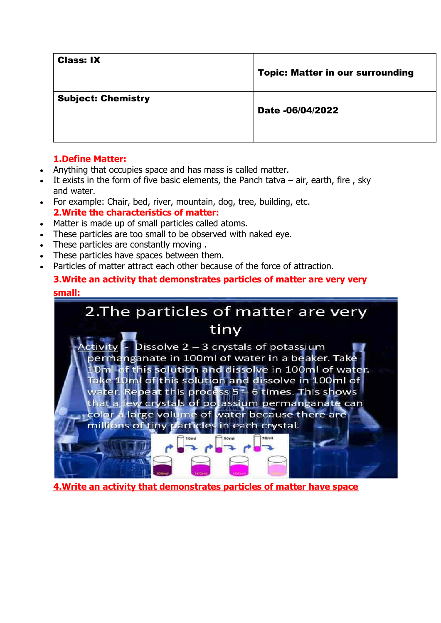Class: IX

Topic: Matter in our surrounding

### Subject: Chemistry

#### Date -06/04/2022

# **1.Define Matter:**

- Anything that occupies space and has mass is called matter.
- It exists in the form of five basic elements, the Panch tatva  $-$  air, earth, fire, sky and water.
- For example: Chair, bed, river, mountain, dog, tree, building, etc. **2.Write the characteristics of matter:**
- Matter is made up of small particles called atoms.
- These particles are too small to be observed with naked eye.
- These particles are constantly moving .
- These particles have spaces between them.
- Particles of matter attract each other because of the force of attraction.

# **3.Write an activity that demonstrates particles of matter are very very small:**



**4.Write an activity that demonstrates particles of matter have space**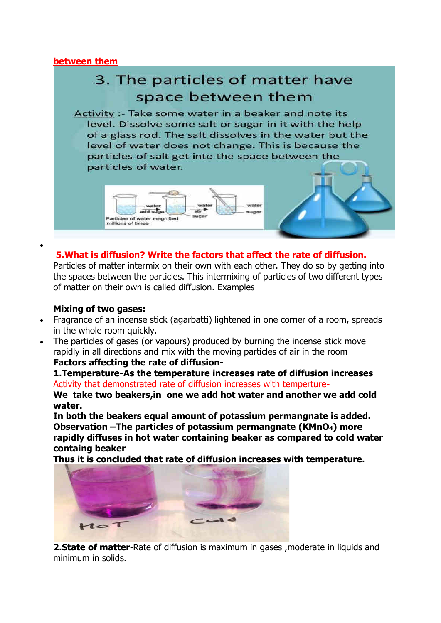### **between them**



# **5.What is diffusion? Write the factors that affect the rate of diffusion.**

Particles of matter intermix on their own with each other. They do so by getting into the spaces between the particles. This intermixing of particles of two different types of matter on their own is called diffusion. Examples

### **Mixing of two gases:**

•

- Fragrance of an incense stick (agarbatti) lightened in one corner of a room, spreads in the whole room quickly.
- The particles of gases (or vapours) produced by burning the incense stick move rapidly in all directions and mix with the moving particles of air in the room **Factors affecting the rate of diffusion-**

**1.Temperature-As the temperature increases rate of diffusion increases**  Activity that demonstrated rate of diffusion increases with temperture-**We take two beakers,in one we add hot water and another we add cold water.** 

**In both the beakers equal amount of potassium permangnate is added. Observation –The particles of potassium permangnate (KMnO4) more rapidly diffuses in hot water containing beaker as compared to cold water containg beaker** 

**Thus it is concluded that rate of diffusion increases with temperature.** 



**2. State of matter-Rate of diffusion is maximum in gases, moderate in liquids and** minimum in solids.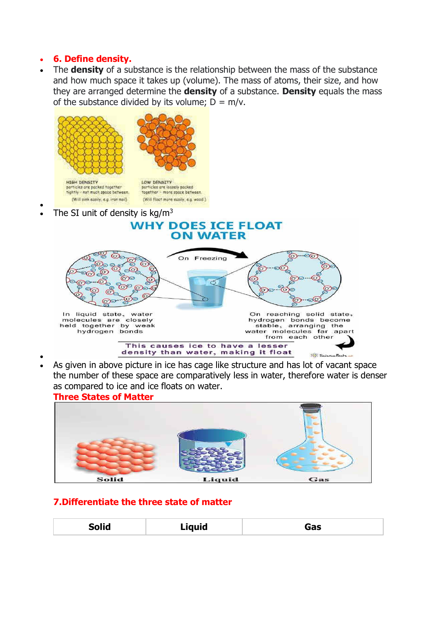### • **6. Define density.**

•

• The **density** of a substance is the relationship between the mass of the substance and how much space it takes up (volume). The mass of atoms, their size, and how they are arranged determine the **density** of a substance. **Density** equals the mass of the substance divided by its volume:  $D = m/v$ .



• As given in above picture in ice has cage like structure and has lot of vacant space the number of these space are comparatively less in water, therefore water is denser as compared to ice and ice floats on water.

#### **Three States of Matter**



### **7.Differentiate the three state of matter**